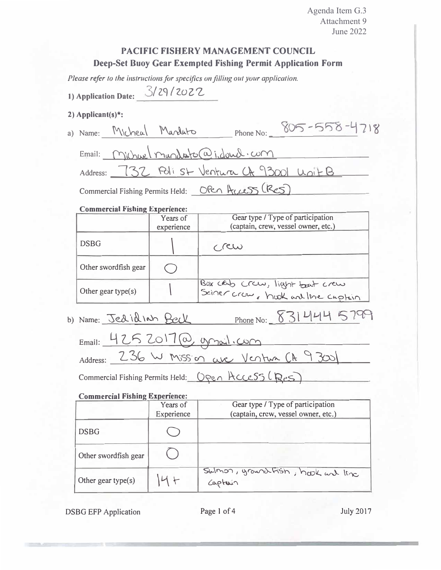Agenda Item G.3 Attachment 9 **June 2022** 

# **PACIFIC FISHERY MANAGEMENT COUNCIL** Deep-Set Buoy Gear Exempted Fishing Permit Application Form

Please refer to the instructions for specifics on filling out your application.

1) Application Date: 3/29/2022

## 2) Applicant(s)<sup>\*</sup>:

|                                       |                                                  |  | a) Name: Micheal Mardato |                                     | Phone No: $805 - 558 - 4718$ |  |
|---------------------------------------|--------------------------------------------------|--|--------------------------|-------------------------------------|------------------------------|--|
|                                       | Email: Michael mundato@i.doucl.com               |  |                          |                                     |                              |  |
|                                       | Address: 732 Polist Ventura CA 93001 Unit B      |  |                          |                                     |                              |  |
|                                       | Commercial Fishing Permits Held: OPEN HULS (RES) |  |                          |                                     |                              |  |
| <b>Commercial Fishing Experience:</b> |                                                  |  |                          |                                     |                              |  |
|                                       |                                                  |  |                          | Gear type / Type of participation   |                              |  |
|                                       |                                                  |  | Years of<br>experience   | (captain, crew, vessel owner, etc.) |                              |  |

|                                            | experience | (capiain, crew, vessei owner, etc.)                                 |  |  |
|--------------------------------------------|------------|---------------------------------------------------------------------|--|--|
| <b>DSBG</b>                                |            | C/CW                                                                |  |  |
| Other swordfish gear                       |            |                                                                     |  |  |
| Other gear type(s)                         |            | Box cab craw, light bast craw<br>Sciner crow, hook and line captain |  |  |
| b) Name: Jedidian Bell                     |            | Phone No: 831444 5799                                               |  |  |
| Email: 4252017@, yonal.com                 |            |                                                                     |  |  |
| Address: 236 W Mission ave Venture CA 9300 |            |                                                                     |  |  |

Commercial Fishing Permits Held: <u>Open Access (Res</u>)

### **Commercial Fishing Experience:**

| ------------         | Years of<br>Experience | Gear type / Type of participation<br>(captain, crew, vessel owner, etc.) |
|----------------------|------------------------|--------------------------------------------------------------------------|
| <b>DSBG</b>          |                        |                                                                          |
| Other swordfish gear |                        |                                                                          |
| Other gear type(s)   |                        | Swimon, ground fish, hook and line<br>Captain                            |

**DSBG EFP Application** 

July 2017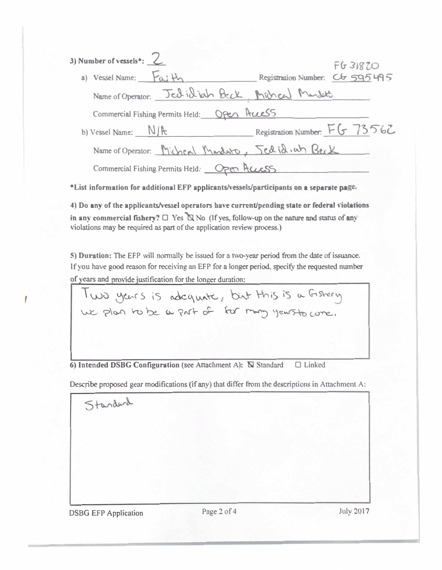| 3) Number of vessels <sup>*</sup> : $\angle$     | <b>FG31820</b>                  |
|--------------------------------------------------|---------------------------------|
| a) Vessel Name: Faith                            | Registration Number. Cb 595 495 |
| Name of Operator: Jed id inh Beck Michel Mandet  |                                 |
| Commercial Fishing Permits Held: OPEA Pruess     |                                 |
| b) Vessel Name: $N/k$                            | Registration Number: FG 73562   |
| Name of Operator: Micheal Mandato, Jedid.uh Beck |                                 |
| Commercial Fishing Permits Held: Open Access     |                                 |

\*List information for additional EFP applicants/vessels/participants on a separate page.

4) Do any of the applicants/vessel operators have current/pending state or federal violations in any commercial fishery?  $\Box$  Yes  $\Box$  No (If yes, follow-up on the nature and status of any violations may be required as part of the application review process.)

5) Duration: The EFP will normally be issued for a two-year period from the date of issuance. If you have good reason for receiving an EFP for a longer period, specify the requested number of years and provide justification for the longer duration:

Two years is adequate, but this is a Gistery

6) Intended DSBG Configuration (see Attachment A): N Standard  $\Box$  Linked

Describe proposed gear modifications (if any) that differ from the descriptions in Attachment A:

**DSBG EFP Application** 

Standard

Page 2 of 4

**July 2017**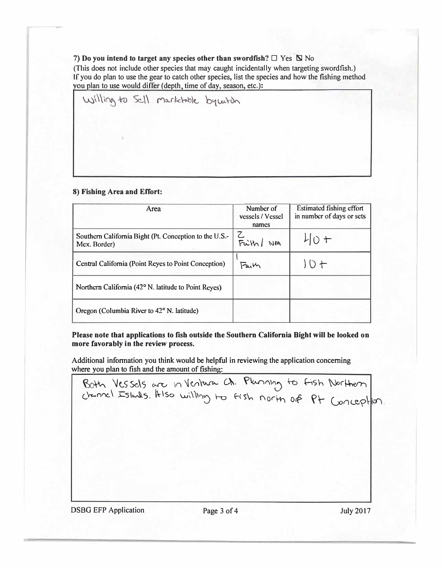#### 7) Do you intend to target any species other than swordfish?  $\Box$  Yes  $\Box$  No

(This does not include other species that may caught incidentally when targeting swordfish.) If you do plan to use the gear to catch other species, list the species and how the fishing method you plan to use would differ (depth, time of day, season, etc.):

Willing to Sell markhable by witch

#### **8) Fishing Area and Effort:**

| Area                                                                   | Number of<br>vessels / Vessel<br>names | Estimated fishing effort<br>in number of days or sets |
|------------------------------------------------------------------------|----------------------------------------|-------------------------------------------------------|
| Southern California Bight (Pt. Conception to the U.S.-<br>Mex. Border) | Faith<br>NIA                           | $L[0+$                                                |
| Central California (Point Reyes to Point Conception)                   | Faith                                  | $10+$                                                 |
| Northern California (42° N. latitude to Point Reyes)                   |                                        |                                                       |
| Oregon (Columbia River to 42° N. latitude)                             |                                        |                                                       |

**Please note that applications to fish outside the Southern California Bight will be looked on more favorably in the review process.** 

Additional information you think would be helpful in reviewing the application concerning where you plan to fish and the amount of fishing:

Both Vessels are in Ventura Ch. Plunning to fish Northern chanel Islands. Hiso willing to fish north of Pt Conception

DSBG EFP Application Page 3 of 4 July 2017